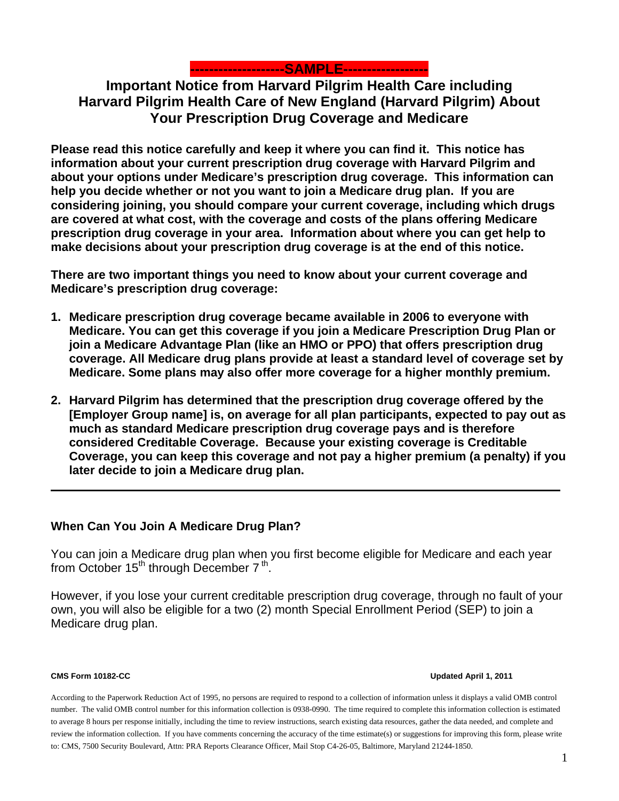

# **Important Notice from Harvard Pilgrim Health Care including Harvard Pilgrim Health Care of New England (Harvard Pilgrim) About Your Prescription Drug Coverage and Medicare**

**Please read this notice carefully and keep it where you can find it. This notice has information about your current prescription drug coverage with Harvard Pilgrim and about your options under Medicare's prescription drug coverage. This information can help you decide whether or not you want to join a Medicare drug plan. If you are considering joining, you should compare your current coverage, including which drugs are covered at what cost, with the coverage and costs of the plans offering Medicare prescription drug coverage in your area. Information about where you can get help to make decisions about your prescription drug coverage is at the end of this notice.** 

**There are two important things you need to know about your current coverage and Medicare's prescription drug coverage:** 

- **1. Medicare prescription drug coverage became available in 2006 to everyone with Medicare. You can get this coverage if you join a Medicare Prescription Drug Plan or join a Medicare Advantage Plan (like an HMO or PPO) that offers prescription drug coverage. All Medicare drug plans provide at least a standard level of coverage set by Medicare. Some plans may also offer more coverage for a higher monthly premium.**
- **2. Harvard Pilgrim has determined that the prescription drug coverage offered by the [Employer Group name] is, on average for all plan participants, expected to pay out as much as standard Medicare prescription drug coverage pays and is therefore considered Creditable Coverage. Because your existing coverage is Creditable Coverage, you can keep this coverage and not pay a higher premium (a penalty) if you later decide to join a Medicare drug plan.**

## **When Can You Join A Medicare Drug Plan?**

You can join a Medicare drug plan when you first become eligible for Medicare and each year from October  $15<sup>th</sup>$  through December  $7<sup>th</sup>$ .

However, if you lose your current creditable prescription drug coverage, through no fault of your own, you will also be eligible for a two (2) month Special Enrollment Period (SEP) to join a Medicare drug plan.

#### **CMS Form 10182-CC Updated April 1, 2011**

According to the Paperwork Reduction Act of 1995, no persons are required to respond to a collection of information unless it displays a valid OMB control number. The valid OMB control number for this information collection is 0938-0990. The time required to complete this information collection is estimated to average 8 hours per response initially, including the time to review instructions, search existing data resources, gather the data needed, and complete and review the information collection. If you have comments concerning the accuracy of the time estimate(s) or suggestions for improving this form, please write to: CMS, 7500 Security Boulevard, Attn: PRA Reports Clearance Officer, Mail Stop C4-26-05, Baltimore, Maryland 21244-1850.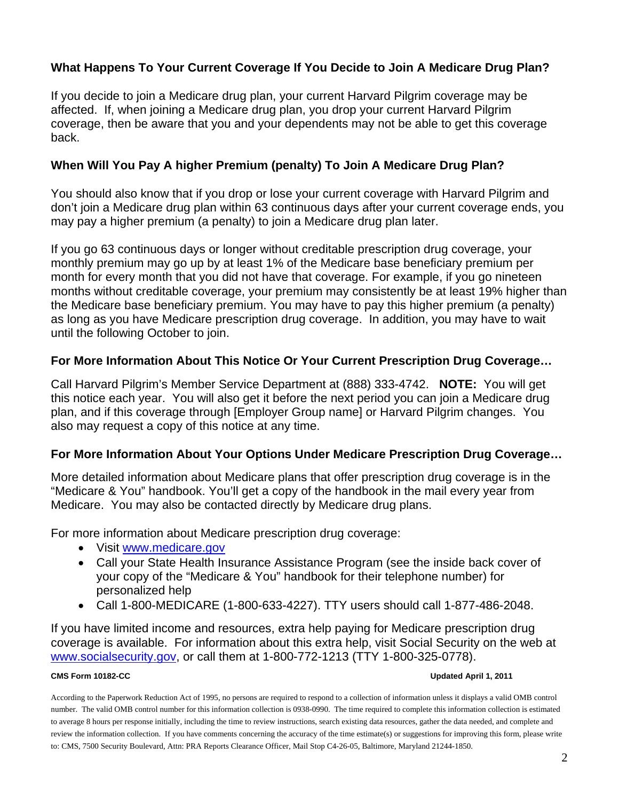## **What Happens To Your Current Coverage If You Decide to Join A Medicare Drug Plan?**

If you decide to join a Medicare drug plan, your current Harvard Pilgrim coverage may be affected. If, when joining a Medicare drug plan, you drop your current Harvard Pilgrim coverage, then be aware that you and your dependents may not be able to get this coverage back.

## **When Will You Pay A higher Premium (penalty) To Join A Medicare Drug Plan?**

You should also know that if you drop or lose your current coverage with Harvard Pilgrim and don't join a Medicare drug plan within 63 continuous days after your current coverage ends, you may pay a higher premium (a penalty) to join a Medicare drug plan later.

If you go 63 continuous days or longer without creditable prescription drug coverage, your monthly premium may go up by at least 1% of the Medicare base beneficiary premium per month for every month that you did not have that coverage. For example, if you go nineteen months without creditable coverage, your premium may consistently be at least 19% higher than the Medicare base beneficiary premium. You may have to pay this higher premium (a penalty) as long as you have Medicare prescription drug coverage. In addition, you may have to wait until the following October to join.

## **For More Information About This Notice Or Your Current Prescription Drug Coverage…**

Call Harvard Pilgrim's Member Service Department at (888) 333-4742. **NOTE:** You will get this notice each year. You will also get it before the next period you can join a Medicare drug plan, and if this coverage through [Employer Group name] or Harvard Pilgrim changes. You also may request a copy of this notice at any time.

## **For More Information About Your Options Under Medicare Prescription Drug Coverage…**

More detailed information about Medicare plans that offer prescription drug coverage is in the "Medicare & You" handbook. You'll get a copy of the handbook in the mail every year from Medicare. You may also be contacted directly by Medicare drug plans.

For more information about Medicare prescription drug coverage:

- Visit [www.medicare.gov](http://www.medicare.gov/)
- Call your State Health Insurance Assistance Program (see the inside back cover of your copy of the "Medicare & You" handbook for their telephone number) for personalized help
- Call 1-800-MEDICARE (1-800-633-4227). TTY users should call 1-877-486-2048.

If you have limited income and resources, extra help paying for Medicare prescription drug coverage is available. For information about this extra help, visit Social Security on the web at [www.socialsecurity.gov](http://www.socialsecurity.gov/), or call them at 1-800-772-1213 (TTY 1-800-325-0778).

#### **CMS Form 10182-CC Updated April 1, 2011**

According to the Paperwork Reduction Act of 1995, no persons are required to respond to a collection of information unless it displays a valid OMB control number. The valid OMB control number for this information collection is 0938-0990. The time required to complete this information collection is estimated to average 8 hours per response initially, including the time to review instructions, search existing data resources, gather the data needed, and complete and review the information collection. If you have comments concerning the accuracy of the time estimate(s) or suggestions for improving this form, please write to: CMS, 7500 Security Boulevard, Attn: PRA Reports Clearance Officer, Mail Stop C4-26-05, Baltimore, Maryland 21244-1850.